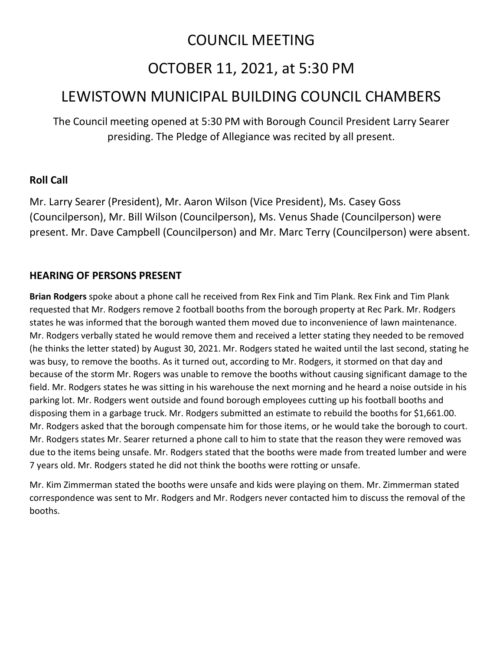# COUNCIL MEETING

# OCTOBER 11, 2021, at 5:30 PM

# LEWISTOWN MUNICIPAL BUILDING COUNCIL CHAMBERS

The Council meeting opened at 5:30 PM with Borough Council President Larry Searer presiding. The Pledge of Allegiance was recited by all present.

### **Roll Call**

Mr. Larry Searer (President), Mr. Aaron Wilson (Vice President), Ms. Casey Goss (Councilperson), Mr. Bill Wilson (Councilperson), Ms. Venus Shade (Councilperson) were present. Mr. Dave Campbell (Councilperson) and Mr. Marc Terry (Councilperson) were absent.

### **HEARING OF PERSONS PRESENT**

**Brian Rodgers** spoke about a phone call he received from Rex Fink and Tim Plank. Rex Fink and Tim Plank requested that Mr. Rodgers remove 2 football booths from the borough property at Rec Park. Mr. Rodgers states he was informed that the borough wanted them moved due to inconvenience of lawn maintenance. Mr. Rodgers verbally stated he would remove them and received a letter stating they needed to be removed (he thinks the letter stated) by August 30, 2021. Mr. Rodgers stated he waited until the last second, stating he was busy, to remove the booths. As it turned out, according to Mr. Rodgers, it stormed on that day and because of the storm Mr. Rogers was unable to remove the booths without causing significant damage to the field. Mr. Rodgers states he was sitting in his warehouse the next morning and he heard a noise outside in his parking lot. Mr. Rodgers went outside and found borough employees cutting up his football booths and disposing them in a garbage truck. Mr. Rodgers submitted an estimate to rebuild the booths for \$1,661.00. Mr. Rodgers asked that the borough compensate him for those items, or he would take the borough to court. Mr. Rodgers states Mr. Searer returned a phone call to him to state that the reason they were removed was due to the items being unsafe. Mr. Rodgers stated that the booths were made from treated lumber and were 7 years old. Mr. Rodgers stated he did not think the booths were rotting or unsafe.

Mr. Kim Zimmerman stated the booths were unsafe and kids were playing on them. Mr. Zimmerman stated correspondence was sent to Mr. Rodgers and Mr. Rodgers never contacted him to discuss the removal of the booths.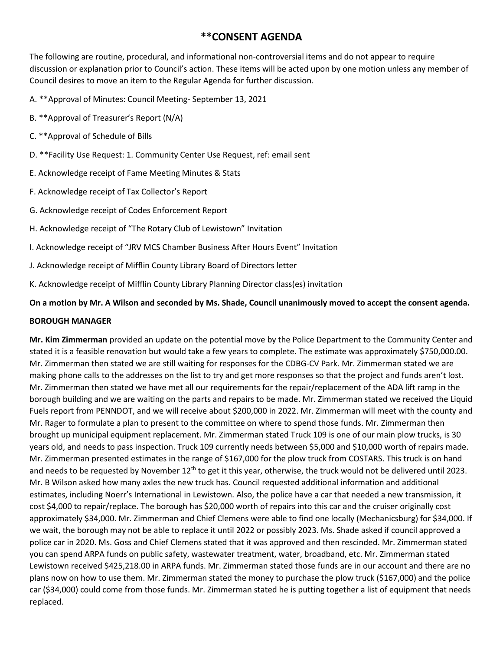### **\*\*CONSENT AGENDA**

The following are routine, procedural, and informational non-controversial items and do not appear to require discussion or explanation prior to Council's action. These items will be acted upon by one motion unless any member of Council desires to move an item to the Regular Agenda for further discussion.

A. \*\*Approval of Minutes: Council Meeting- September 13, 2021

- B. \*\*Approval of Treasurer's Report (N/A)
- C. \*\*Approval of Schedule of Bills
- D. \*\*Facility Use Request: 1. Community Center Use Request, ref: email sent
- E. Acknowledge receipt of Fame Meeting Minutes & Stats
- F. Acknowledge receipt of Tax Collector's Report
- G. Acknowledge receipt of Codes Enforcement Report
- H. Acknowledge receipt of "The Rotary Club of Lewistown" Invitation
- I. Acknowledge receipt of "JRV MCS Chamber Business After Hours Event" Invitation
- J. Acknowledge receipt of Mifflin County Library Board of Directors letter
- K. Acknowledge receipt of Mifflin County Library Planning Director class(es) invitation

#### **On a motion by Mr. A Wilson and seconded by Ms. Shade, Council unanimously moved to accept the consent agenda.**

#### **BOROUGH MANAGER**

**Mr. Kim Zimmerman** provided an update on the potential move by the Police Department to the Community Center and stated it is a feasible renovation but would take a few years to complete. The estimate was approximately \$750,000.00. Mr. Zimmerman then stated we are still waiting for responses for the CDBG-CV Park. Mr. Zimmerman stated we are making phone calls to the addresses on the list to try and get more responses so that the project and funds aren't lost. Mr. Zimmerman then stated we have met all our requirements for the repair/replacement of the ADA lift ramp in the borough building and we are waiting on the parts and repairs to be made. Mr. Zimmerman stated we received the Liquid Fuels report from PENNDOT, and we will receive about \$200,000 in 2022. Mr. Zimmerman will meet with the county and Mr. Rager to formulate a plan to present to the committee on where to spend those funds. Mr. Zimmerman then brought up municipal equipment replacement. Mr. Zimmerman stated Truck 109 is one of our main plow trucks, is 30 years old, and needs to pass inspection. Truck 109 currently needs between \$5,000 and \$10,000 worth of repairs made. Mr. Zimmerman presented estimates in the range of \$167,000 for the plow truck from COSTARS. This truck is on hand and needs to be requested by November 12<sup>th</sup> to get it this year, otherwise, the truck would not be delivered until 2023. Mr. B Wilson asked how many axles the new truck has. Council requested additional information and additional estimates, including Noerr's International in Lewistown. Also, the police have a car that needed a new transmission, it cost \$4,000 to repair/replace. The borough has \$20,000 worth of repairs into this car and the cruiser originally cost approximately \$34,000. Mr. Zimmerman and Chief Clemens were able to find one locally (Mechanicsburg) for \$34,000. If we wait, the borough may not be able to replace it until 2022 or possibly 2023. Ms. Shade asked if council approved a police car in 2020. Ms. Goss and Chief Clemens stated that it was approved and then rescinded. Mr. Zimmerman stated you can spend ARPA funds on public safety, wastewater treatment, water, broadband, etc. Mr. Zimmerman stated Lewistown received \$425,218.00 in ARPA funds. Mr. Zimmerman stated those funds are in our account and there are no plans now on how to use them. Mr. Zimmerman stated the money to purchase the plow truck (\$167,000) and the police car (\$34,000) could come from those funds. Mr. Zimmerman stated he is putting together a list of equipment that needs replaced.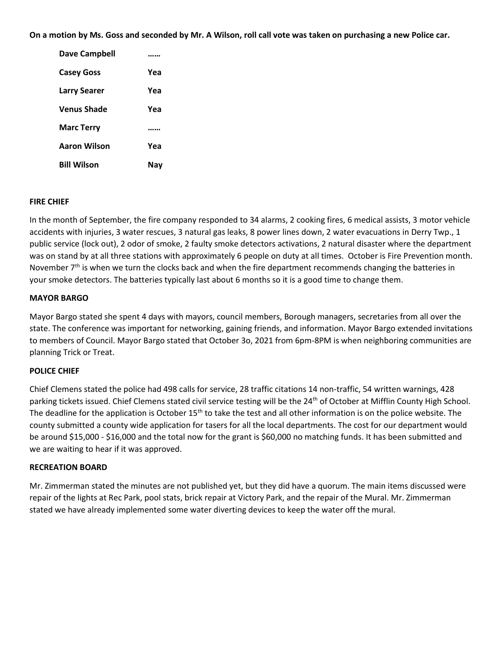**On a motion by Ms. Goss and seconded by Mr. A Wilson, roll call vote was taken on purchasing a new Police car.** 

| Dave Campbell       |     |
|---------------------|-----|
| <b>Casey Goss</b>   | Yea |
| <b>Larry Searer</b> | Yea |
| <b>Venus Shade</b>  | Yea |
| <b>Marc Terry</b>   |     |
| <b>Aaron Wilson</b> | Yea |
| <b>Bill Wilson</b>  | Nav |

#### **FIRE CHIEF**

In the month of September, the fire company responded to 34 alarms, 2 cooking fires, 6 medical assists, 3 motor vehicle accidents with injuries, 3 water rescues, 3 natural gas leaks, 8 power lines down, 2 water evacuations in Derry Twp., 1 public service (lock out), 2 odor of smoke, 2 faulty smoke detectors activations, 2 natural disaster where the department was on stand by at all three stations with approximately 6 people on duty at all times. October is Fire Prevention month. November  $7<sup>th</sup>$  is when we turn the clocks back and when the fire department recommends changing the batteries in your smoke detectors. The batteries typically last about 6 months so it is a good time to change them.

#### **MAYOR BARGO**

Mayor Bargo stated she spent 4 days with mayors, council members, Borough managers, secretaries from all over the state. The conference was important for networking, gaining friends, and information. Mayor Bargo extended invitations to members of Council. Mayor Bargo stated that October 3o, 2021 from 6pm-8PM is when neighboring communities are planning Trick or Treat.

#### **POLICE CHIEF**

Chief Clemens stated the police had 498 calls for service, 28 traffic citations 14 non-traffic, 54 written warnings, 428 parking tickets issued. Chief Clemens stated civil service testing will be the 24<sup>th</sup> of October at Mifflin County High School. The deadline for the application is October  $15<sup>th</sup>$  to take the test and all other information is on the police website. The county submitted a county wide application for tasers for all the local departments. The cost for our department would be around \$15,000 - \$16,000 and the total now for the grant is \$60,000 no matching funds. It has been submitted and we are waiting to hear if it was approved.

#### **RECREATION BOARD**

Mr. Zimmerman stated the minutes are not published yet, but they did have a quorum. The main items discussed were repair of the lights at Rec Park, pool stats, brick repair at Victory Park, and the repair of the Mural. Mr. Zimmerman stated we have already implemented some water diverting devices to keep the water off the mural.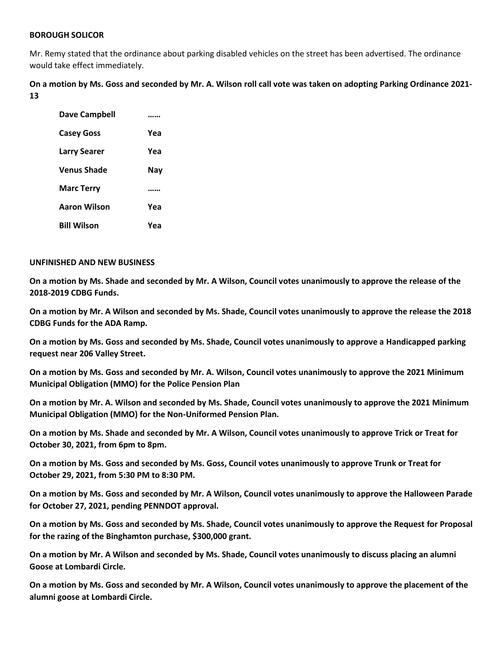#### **BOROUGH SOLICOR**

Mr. Remy stated that the ordinance about parking disabled vehicles on the street has been advertised. The ordinance would take effect immediately.

**On a motion by Ms. Goss and seconded by Mr. A. Wilson roll call vote was taken on adopting Parking Ordinance 2021- 13**

| Dave Campbell       |     |
|---------------------|-----|
| <b>Casey Goss</b>   | Yea |
| <b>Larry Searer</b> | Yea |
| <b>Venus Shade</b>  | Nay |
| <b>Marc Terry</b>   |     |
| Aaron Wilson        | Yea |
| <b>Bill Wilson</b>  | Үеа |

#### **UNFINISHED AND NEW BUSINESS**

**On a motion by Ms. Shade and seconded by Mr. A Wilson, Council votes unanimously to approve the release of the 2018-2019 CDBG Funds.** 

**On a motion by Mr. A Wilson and seconded by Ms. Shade, Council votes unanimously to approve the release the 2018 CDBG Funds for the ADA Ramp.**

**On a motion by Ms. Goss and seconded by Ms. Shade, Council votes unanimously to approve a Handicapped parking request near 206 Valley Street.**

**On a motion by Ms. Goss and seconded by Mr. A. Wilson, Council votes unanimously to approve the 2021 Minimum Municipal Obligation (MMO) for the Police Pension Plan**

**On a motion by Mr. A. Wilson and seconded by Ms. Shade, Council votes unanimously to approve the 2021 Minimum Municipal Obligation (MMO) for the Non-Uniformed Pension Plan.**

**On a motion by Ms. Shade and seconded by Mr. A Wilson, Council votes unanimously to approve Trick or Treat for October 30, 2021, from 6pm to 8pm.** 

**On a motion by Ms. Goss and seconded by Ms. Goss, Council votes unanimously to approve Trunk or Treat for October 29, 2021, from 5:30 PM to 8:30 PM.**

**On a motion by Ms. Goss and seconded by Mr. A Wilson, Council votes unanimously to approve the Halloween Parade for October 27, 2021, pending PENNDOT approval.**

**On a motion by Ms. Goss and seconded by Ms. Shade, Council votes unanimously to approve the Request for Proposal for the razing of the Binghamton purchase, \$300,000 grant.** 

**On a motion by Mr. A Wilson and seconded by Ms. Shade, Council votes unanimously to discuss placing an alumni Goose at Lombardi Circle.** 

**On a motion by Ms. Goss and seconded by Mr. A Wilson, Council votes unanimously to approve the placement of the alumni goose at Lombardi Circle.**